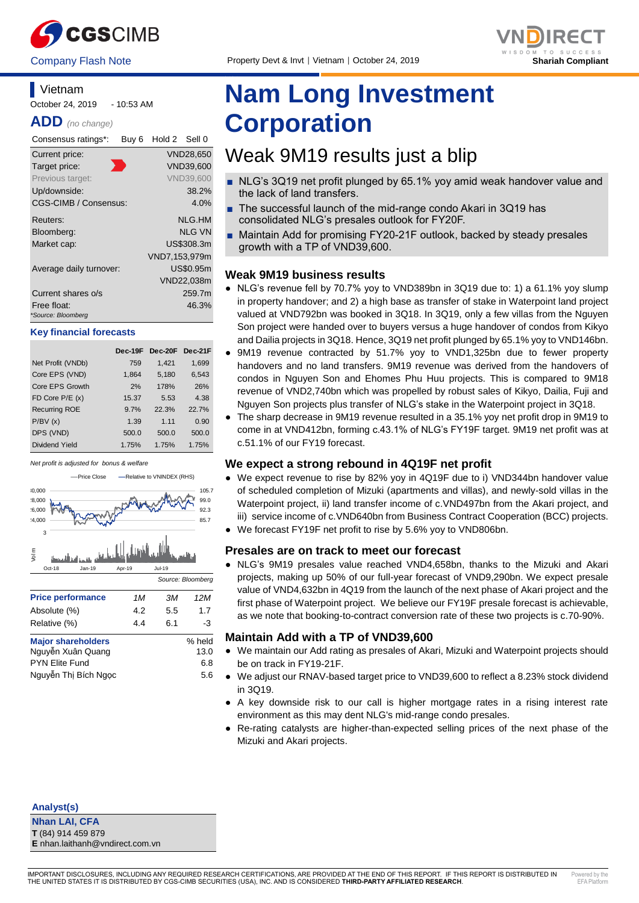



# **Vietnam** October 24, 2019 - 10:53 AM

**ADD** *(no change)*

| Consensus ratings*:               | Buy <sub>6</sub> | Hold 2 Sell 0 |                  |
|-----------------------------------|------------------|---------------|------------------|
| Current price:                    |                  |               | <b>VND28,650</b> |
| Target price:                     |                  |               | VND39,600        |
| Previous target:                  |                  |               | <b>VND39,600</b> |
| Up/downside:                      |                  |               | 38.2%            |
| <b>CGS-CIMB / Consensus:</b>      |                  |               | 4.0%             |
| Reuters:                          |                  |               | NLG.HM           |
| Bloomberg:                        |                  |               | <b>NLG VN</b>    |
| Market cap:                       |                  |               | US\$308.3m       |
|                                   |                  | VND7,153,979m |                  |
| Average daily turnover:           |                  |               | US\$0.95m        |
|                                   |                  |               | VND22,038m       |
| Current shares o/s                |                  |               | 259.7m           |
| Free float:<br>*Source: Bloomberg |                  |               | 46.3%            |

#### **Key financial forecasts**

|                      | Dec-19F | Dec-20F | Dec-21F |
|----------------------|---------|---------|---------|
| Net Profit (VNDb)    | 759     | 1,421   | 1,699   |
| Core EPS (VND)       | 1,864   | 5,180   | 6,543   |
| Core EPS Growth      | 2%      | 178%    | 26%     |
| FD Core $P/E(x)$     | 15.37   | 5.53    | 4.38    |
| <b>Recurring ROE</b> | 9.7%    | 22.3%   | 22.7%   |
| P/BV(x)              | 1.39    | 1.11    | 0.90    |
| DPS (VND)            | 500.0   | 500.0   | 500.0   |
| Dividend Yield       | 1.75%   | 1.75%   | 1.75%   |

*Net profit is adjusted for bonus & welfare*



| <b>Major shareholders</b> | % held |
|---------------------------|--------|
| Nguyễn Xuân Quang         | 13.0   |
| <b>PYN Elite Fund</b>     | 6.8    |
| Nguyễn Thị Bích Ngọc      | 5.6    |

# **Nam Long Investment Corporation**

# Weak 9M19 results just a blip

- NLG's 3Q19 net profit plunged by 65.1% yoy amid weak handover value and the lack of land transfers.
- The successful launch of the mid-range condo Akari in 3Q19 has consolidated NLG's presales outlook for FY20F.
- Maintain Add for promising FY20-21F outlook, backed by steady presales growth with a TP of VND39,600.

# **Weak 9M19 business results**

- NLG's revenue fell by 70.7% yoy to VND389bn in 3Q19 due to: 1) a 61.1% yoy slump in property handover; and 2) a high base as transfer of stake in Waterpoint land project valued at VND792bn was booked in 3Q18. In 3Q19, only a few villas from the Nguyen Son project were handed over to buyers versus a huge handover of condos from Kikyo and Dailia projects in 3Q18. Hence, 3Q19 net profit plunged by 65.1% yoy to VND146bn.
- 9M19 revenue contracted by 51.7% yoy to VND1,325bn due to fewer property handovers and no land transfers. 9M19 revenue was derived from the handovers of condos in Nguyen Son and Ehomes Phu Huu projects. This is compared to 9M18 revenue of VND2,740bn which was propelled by robust sales of Kikyo, Dailia, Fuji and Nguyen Son projects plus transfer of NLG's stake in the Waterpoint project in 3Q18.
- The sharp decrease in 9M19 revenue resulted in a 35.1% yoy net profit drop in 9M19 to come in at VND412bn, forming c.43.1% of NLG's FY19F target. 9M19 net profit was at c.51.1% of our FY19 forecast.

# **We expect a strong rebound in 4Q19F net profit**

- We expect revenue to rise by 82% yoy in 4Q19F due to i) VND344bn handover value of scheduled completion of Mizuki (apartments and villas), and newly-sold villas in the Waterpoint project, ii) land transfer income of c.VND497bn from the Akari project, and iii) service income of c.VND640bn from Business Contract Cooperation (BCC) projects.
- We forecast FY19F net profit to rise by 5.6% yoy to VND806bn.

# **Presales are on track to meet our forecast**

● NLG's 9M19 presales value reached VND4,658bn, thanks to the Mizuki and Akari projects, making up 50% of our full-year forecast of VND9,290bn. We expect presale value of VND4,632bn in 4Q19 from the launch of the next phase of Akari project and the first phase of Waterpoint project. We believe our FY19F presale forecast is achievable, as we note that booking-to-contract conversion rate of these two projects is c.70-90%.

# **Maintain Add with a TP of VND39,600**

- We maintain our Add rating as presales of Akari, Mizuki and Waterpoint projects should be on track in FY19-21F.
- We adjust our RNAV-based target price to VND39,600 to reflect a 8.23% stock dividend in 3Q19.
- A key downside risk to our call is higher mortgage rates in a rising interest rate environment as this may dent NLG's mid-range condo presales.
- Re-rating catalysts are higher-than-expected selling prices of the next phase of the Mizuki and Akari projects.

**Analyst(s)**

**Nhan LAI, CFA T** (84) 914 459 879 **E** nhan.laithanh@vndirect.com.vn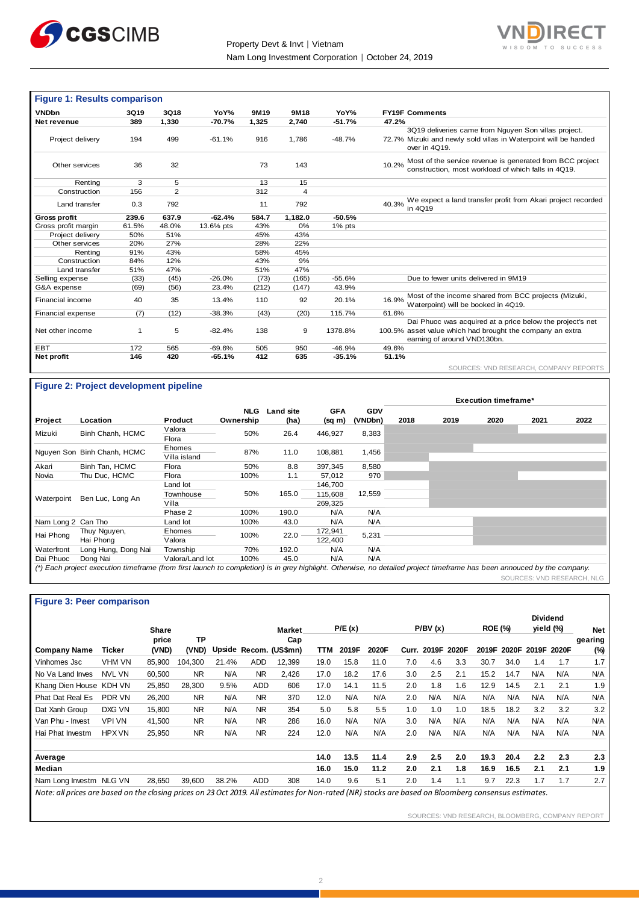



| <b>Figure 1: Results comparison</b> |       |                |           |       |                |           |                                                                                                                                          |
|-------------------------------------|-------|----------------|-----------|-------|----------------|-----------|------------------------------------------------------------------------------------------------------------------------------------------|
| <b>VNDbn</b>                        | 3Q19  | 3Q18           | YoY%      | 9M19  | 9M18           | YoY%      | <b>FY19F Comments</b>                                                                                                                    |
| Net revenue                         | 389   | 1,330          | $-70.7%$  | 1,325 | 2,740          | $-51.7%$  | 47.2%                                                                                                                                    |
| Project delivery                    | 194   | 499            | $-61.1%$  | 916   | 1.786          | $-48.7%$  | 3Q19 deliveries came from Nguyen Son villas project.<br>72.7% Mizuki and newly sold villas in Waterpoint will be handed<br>over in 4Q19. |
| Other services                      | 36    | 32             |           | 73    | 143            |           | Most of the service revenue is generated from BCC project<br>10.2%<br>construction, most workload of which falls in 4Q19.                |
| Renting                             | 3     | 5              |           | 13    | 15             |           |                                                                                                                                          |
| Construction                        | 156   | $\overline{2}$ |           | 312   | $\overline{4}$ |           |                                                                                                                                          |
| Land transfer                       | 0.3   | 792            |           | 11    | 792            |           | We expect a land transfer profit from Akari project recorded<br>40.3%<br>in 4Q19                                                         |
| <b>Gross profit</b>                 | 239.6 | 637.9          | $-62.4%$  | 584.7 | 1,182.0        | $-50.5%$  |                                                                                                                                          |
| Gross profit margin                 | 61.5% | 48.0%          | 13.6% pts | 43%   | 0%             | $1\%$ pts |                                                                                                                                          |
| Project delivery                    | 50%   | 51%            |           | 45%   | 43%            |           |                                                                                                                                          |
| Other services                      | 20%   | 27%            |           | 28%   | 22%            |           |                                                                                                                                          |
| Renting                             | 91%   | 43%            |           | 58%   | 45%            |           |                                                                                                                                          |
| Construction                        | 84%   | 12%            |           | 43%   | 9%             |           |                                                                                                                                          |
| Land transfer                       | 51%   | 47%            |           | 51%   | 47%            |           |                                                                                                                                          |
| Selling expense                     | (33)  | (45)           | $-26.0%$  | (73)  | (165)          | $-55.6%$  | Due to fewer units delivered in 9M19                                                                                                     |
| G&A expense                         | (69)  | (56)           | 23.4%     | (212) | (147)          | 43.9%     |                                                                                                                                          |
| Financial income                    | 40    | 35             | 13.4%     | 110   | 92             | 20.1%     | Most of the income shared from BCC projects (Mizuki,<br>16.9%<br>Waterpoint) will be booked in 4Q19.                                     |
| Financial expense                   | (7)   | (12)           | $-38.3%$  | (43)  | (20)           | 115.7%    | 61.6%                                                                                                                                    |
|                                     |       |                |           |       |                |           | Dai Phuoc was acquired at a price below the project's net                                                                                |
| Net other income                    | 1     | 5              | $-82.4%$  | 138   | 9              | 1378.8%   | 100.5% asset value which had brought the company an extra<br>earning of around VND130bn.                                                 |
| EBT                                 | 172   | 565            | $-69.6%$  | 505   | 950            | $-46.9%$  | 49.6%                                                                                                                                    |
| Net profit                          | 146   | 420            | $-65.1%$  | 412   | 635            | $-35.1%$  | 51.1%                                                                                                                                    |
|                                     |       |                |           |       |                |           | SOURCES: VND RESEARCH, COMPANY REPORTS                                                                                                   |

# **Figure 2: Project development pipeline**

|                    |                                                                                                                                                                         |                        |            |                  |             |            | <b>Execution timeframe*</b> |      |      |      |      |
|--------------------|-------------------------------------------------------------------------------------------------------------------------------------------------------------------------|------------------------|------------|------------------|-------------|------------|-----------------------------|------|------|------|------|
|                    |                                                                                                                                                                         |                        | <b>NLG</b> | <b>Land site</b> | <b>GFA</b>  | <b>GDV</b> |                             |      |      |      |      |
| Project            | Location                                                                                                                                                                | Product                | Ownership  | (ha)             | $(sq \, m)$ | (VNDbn)    | 2018                        | 2019 | 2020 | 2021 | 2022 |
| Mizuki             | Binh Chanh, HCMC                                                                                                                                                        | Valora<br>Flora        | 50%        | 26.4             | 446,927     | 8,383      |                             |      |      |      |      |
|                    | Nguyen Son Binh Chanh, HCMC                                                                                                                                             | Ehomes<br>Villa island | 87%        | 11.0             | 108,881     | 1,456      |                             |      |      |      |      |
| Akari              | Binh Tan, HCMC                                                                                                                                                          | Flora                  | 50%        | 8.8              | 397,345     | 8,580      |                             |      |      |      |      |
| Novia              | Thu Duc, HCMC                                                                                                                                                           | Flora                  | 100%       | 1.1              | 57,012      | 970        |                             |      |      |      |      |
|                    |                                                                                                                                                                         | Land lot               |            |                  | 146,700     |            |                             |      |      |      |      |
| Waterpoint         | Ben Luc, Long An                                                                                                                                                        | Townhouse              | 50%        | 165.0            | 115,608     | 12,559     |                             |      |      |      |      |
|                    |                                                                                                                                                                         | Villa                  |            |                  | 269,325     |            |                             |      |      |      |      |
|                    |                                                                                                                                                                         | Phase 2                | 100%       | 190.0            | N/A         | N/A        |                             |      |      |      |      |
| Nam Long 2 Can Tho |                                                                                                                                                                         | Land lot               | 100%       | 43.0             | N/A         | N/A        |                             |      |      |      |      |
| Hai Phong          | Thuy Nguyen,                                                                                                                                                            | Ehomes                 | 100%       | 22.0             | 172,941     | 5,231      |                             |      |      |      |      |
|                    | Hai Phong                                                                                                                                                               | Valora                 |            |                  | 122,400     |            |                             |      |      |      |      |
| Waterfront         | Long Hung, Dong Nai                                                                                                                                                     | Township               | 70%        | 192.0            | N/A         | N/A        |                             |      |      |      |      |
| Dai Phuoc          | Dong Nai                                                                                                                                                                | Valora/Land lot        | 100%       | 45.0             | N/A         | N/A        |                             |      |      |      |      |
|                    | (*) Each project execution timeframe (from first launch to completion) is in grey highlight. Otherwise, no detailed project timeframe has been annouced by the company. |                        |            |                  |             |            |                             |      |      |      |      |

SOURCES: VND RESEARCH, NLG

## **Figure 3: Peer comparison**

|                                                                                                                                                      |               |              |           |       |            |                        |      |        |       |       |         |       |                |       |       | <b>Dividend</b> |         |
|------------------------------------------------------------------------------------------------------------------------------------------------------|---------------|--------------|-----------|-------|------------|------------------------|------|--------|-------|-------|---------|-------|----------------|-------|-------|-----------------|---------|
|                                                                                                                                                      |               | <b>Share</b> |           |       |            | Market                 |      | P/E(x) |       |       | P/BV(x) |       | <b>ROE (%)</b> |       |       | yield (%)       | Net     |
|                                                                                                                                                      |               | price        | TP        |       |            | Cap                    |      |        |       |       |         |       |                |       |       |                 | gearing |
| <b>Company Name</b>                                                                                                                                  | Ticker        | (VND)        | (VND)     |       |            | Upside Recom. (US\$mn) | TTM  | 2019F  | 2020F | Curr. | 2019F   | 2020F | 2019F          | 2020F | 2019F | 2020F           | $(\%)$  |
| Vinhomes Jsc                                                                                                                                         | <b>VHM VN</b> | 85.900       | 104.300   | 21.4% | <b>ADD</b> | 12,399                 | 19.0 | 15.8   | 11.0  | 7.0   | 4.6     | 3.3   | 30.7           | 34.0  | 1.4   | 1.7             | 1.7     |
| No Va Land Inves                                                                                                                                     | <b>NVL VN</b> | 60.500       | <b>NR</b> | N/A   | <b>NR</b>  | 2.426                  | 17.0 | 18.2   | 17.6  | 3.0   | 2.5     | 2.1   | 15.2           | 14.7  | N/A   | N/A             | N/A     |
| Khang Dien House KDH VN                                                                                                                              |               | 25.850       | 28.300    | 9.5%  | <b>ADD</b> | 606                    | 17.0 | 14.1   | 11.5  | 2.0   | 1.8     | 1.6   | 12.9           | 14.5  | 2.1   | 2.1             | 1.9     |
| <b>Phat Dat Real Es</b>                                                                                                                              | PDR VN        | 26.200       | <b>NR</b> | N/A   | <b>NR</b>  | 370                    | 12.0 | N/A    | N/A   | 2.0   | N/A     | N/A   | N/A            | N/A   | N/A   | N/A             | N/A     |
| Dat Xanh Group                                                                                                                                       | DXG VN        | 15,800       | <b>NR</b> | N/A   | <b>NR</b>  | 354                    | 5.0  | 5.8    | 5.5   | 1.0   | 1.0     | 1.0   | 18.5           | 18.2  | 3.2   | 3.2             | 3.2     |
| Van Phu - Invest                                                                                                                                     | VPI VN        | 41.500       | <b>NR</b> | N/A   | <b>NR</b>  | 286                    | 16.0 | N/A    | N/A   | 3.0   | N/A     | N/A   | N/A            | N/A   | N/A   | N/A             | N/A     |
| Hai Phat Investm                                                                                                                                     | <b>HPX VN</b> | 25,950       | <b>NR</b> | N/A   | <b>NR</b>  | 224                    | 12.0 | N/A    | N/A   | 2.0   | N/A     | N/A   | N/A            | N/A   | N/A   | N/A             | N/A     |
|                                                                                                                                                      |               |              |           |       |            |                        |      |        |       |       |         |       |                |       |       |                 |         |
| Average                                                                                                                                              |               |              |           |       |            |                        | 14.0 | 13.5   | 11.4  | 2.9   | 2.5     | 2.0   | 19.3           | 20.4  | 2.2   | 2.3             | 2.3     |
| Median                                                                                                                                               |               |              |           |       |            |                        | 16.0 | 15.0   | 11.2  | 2.0   | 2.1     | 1.8   | 16.9           | 16.5  | 2.1   | 2.1             | 1.9     |
| Nam Long Investm NLG VN                                                                                                                              |               | 28,650       | 39,600    | 38.2% | <b>ADD</b> | 308                    | 14.0 | 9.6    | 5.1   | 2.0   | 1.4     | 1.1   | 9.7            | 22.3  | 1.7   | 1.7             | 2.7     |
| Note: all prices are based on the closing prices on 23 Oct 2019. All estimates for Non-rated (NR) stocks are based on Bloomberg consensus estimates. |               |              |           |       |            |                        |      |        |       |       |         |       |                |       |       |                 |         |

SOURCES: VND RESEARCH, BLOOMBERG, COMPANY REPORT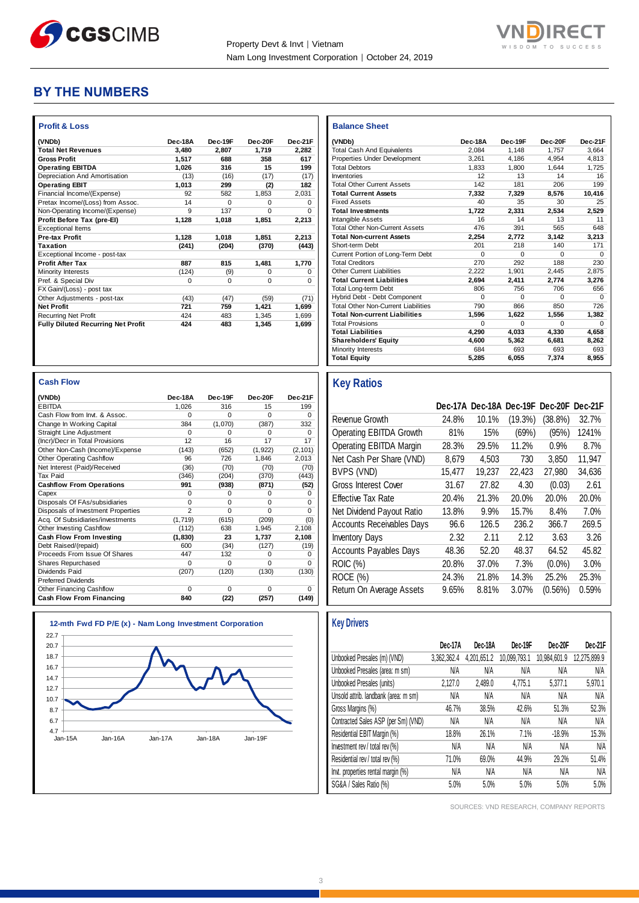

**Balance Sheet** 



# **BY THE NUMBERS**

| <b>Profit &amp; Loss</b>                  |          |          |              |          |
|-------------------------------------------|----------|----------|--------------|----------|
| (VNDb)                                    | Dec-18A  | Dec-19F  | Dec-20F      | Dec-21F  |
| <b>Total Net Revenues</b>                 | 3,480    | 2.807    | 1,719        | 2.282    |
| <b>Gross Profit</b>                       | 1,517    | 688      | 358          | 617      |
| <b>Operating EBITDA</b>                   | 1,026    | 316      | 15           | 199      |
| Depreciation And Amortisation             | (13)     | (16)     | (17)         | (17)     |
| <b>Operating EBIT</b>                     | 1,013    | 299      | (2)          | 182      |
| Financial Income/(Expense)                | 92       | 582      | 1.853        | 2,031    |
| Pretax Income/(Loss) from Assoc.          | 14       | $\Omega$ | <sup>0</sup> | $\Omega$ |
| Non-Operating Income/(Expense)            | 9        | 137      | $\Omega$     | $\Omega$ |
| Profit Before Tax (pre-El)                | 1,128    | 1.018    | 1,851        | 2,213    |
| <b>Exceptional Items</b>                  |          |          |              |          |
| <b>Pre-tax Profit</b>                     | 1,128    | 1,018    | 1,851        | 2,213    |
| <b>Taxation</b>                           | (241)    | (204)    | (370)        | (443)    |
| Exceptional Income - post-tax             |          |          |              |          |
| <b>Profit After Tax</b>                   | 887      | 815      | 1,481        | 1,770    |
| <b>Minority Interests</b>                 | (124)    | (9)      | $\Omega$     | $\Omega$ |
| Pref. & Special Div                       | $\Omega$ | $\Omega$ | $\Omega$     | $\Omega$ |
| FX Gain/(Loss) - post tax                 |          |          |              |          |
| Other Adjustments - post-tax              | (43)     | (47)     | (59)         | (71)     |
| <b>Net Profit</b>                         | 721      | 759      | 1,421        | 1,699    |
| <b>Recurring Net Profit</b>               | 424      | 483      | 1.345        | 1.699    |
| <b>Fully Diluted Recurring Net Profit</b> | 424      | 483      | 1.345        | 1.699    |
|                                           |          |          |              |          |

| (VNDb)                                     | Dec-18A  | Dec-19F  | Dec-20F  | Dec-21F  |
|--------------------------------------------|----------|----------|----------|----------|
| <b>Total Cash And Equivalents</b>          | 2.084    | 1.148    | 1.757    | 3.664    |
| Properties Under Development               | 3.261    | 4.186    | 4.954    | 4.813    |
| <b>Total Debtors</b>                       | 1.833    | 1.800    | 1.644    | 1.725    |
| Inventories                                | 12       | 13       | 14       | 16       |
| <b>Total Other Current Assets</b>          | 142      | 181      | 206      | 199      |
| <b>Total Current Assets</b>                | 7.332    | 7,329    | 8,576    | 10,416   |
| <b>Fixed Assets</b>                        | 40       | 35       | 30       | 25       |
| <b>Total Investments</b>                   | 1.722    | 2.331    | 2.534    | 2.529    |
| Intangible Assets                          | 16       | 14       | 13       | 11       |
| <b>Total Other Non-Current Assets</b>      | 476      | 391      | 565      | 648      |
| <b>Total Non-current Assets</b>            | 2,254    | 2.772    | 3.142    | 3.213    |
| Short-term Debt                            | 201      | 218      | 140      | 171      |
| Current Portion of Long-Term Debt          | $\Omega$ | $\Omega$ | $\Omega$ | $\Omega$ |
| <b>Total Creditors</b>                     | 270      | 292      | 188      | 230      |
| Other Current Liabilities                  | 2.222    | 1.901    | 2.445    | 2,875    |
| <b>Total Current Liabilities</b>           | 2.694    | 2.411    | 2.774    | 3,276    |
| Total Long-term Debt                       | 806      | 756      | 706      | 656      |
| Hybrid Debt - Debt Component               | $\Omega$ | $\Omega$ | $\Omega$ | $\Omega$ |
| <b>Total Other Non-Current Liabilities</b> | 790      | 866      | 850      | 726      |
| <b>Total Non-current Liabilities</b>       | 1.596    | 1.622    | 1.556    | 1.382    |
| <b>Total Provisions</b>                    | $\Omega$ | $\Omega$ | $\Omega$ | $\Omega$ |
| <b>Total Liabilities</b>                   | 4.290    | 4.033    | 4.330    | 4.658    |
| <b>Shareholders' Equity</b>                | 4.600    | 5.362    | 6.681    | 8.262    |
| <b>Minority Interests</b>                  | 684      | 693      | 693      | 693      |
| <b>Total Equity</b>                        | 5,285    | 6,055    | 7,374    | 8.955    |

#### **Cash Flow**

| (VNDb)                             | Dec-18A        | Dec-19F  | Dec-20F  | Dec-21F  |
|------------------------------------|----------------|----------|----------|----------|
| <b>EBITDA</b>                      | 1,026          | 316      | 15       | 199      |
| Cash Flow from Invt. & Assoc.      | $\Omega$       | $\Omega$ | $\Omega$ | $\Omega$ |
| Change In Working Capital          | 384            | (1,070)  | (387)    | 332      |
| <b>Straight Line Adjustment</b>    | $\Omega$       | O        | $\Omega$ | O        |
| (Incr)/Decr in Total Provisions    | 12             | 16       | 17       | 17       |
| Other Non-Cash (Income)/Expense    | (143)          | (652)    | (1, 922) | (2, 101) |
| Other Operating Cashflow           | 96             | 726      | 1,846    | 2,013    |
| Net Interest (Paid)/Received       | (36)           | (70)     | (70)     | (70)     |
| Tax Paid                           | (346)          | (204)    | (370)    | (443)    |
| <b>Cashflow From Operations</b>    | 991            | (938)    | (871)    | (52)     |
| Capex                              | $\Omega$       | $\Omega$ | $\Omega$ | $\Omega$ |
| Disposals Of FAs/subsidiaries      | $\Omega$       | $\Omega$ | $\Omega$ | $\Omega$ |
| Disposals of Investment Properties | $\overline{2}$ | $\Omega$ | $\Omega$ | $\Omega$ |
| Acq. Of Subsidiaries/investments   | (1,719)        | (615)    | (209)    | (0)      |
| Other Investing Cashflow           | (112)          | 638      | 1,945    | 2,108    |
| Cash Flow From Investing           | (1, 830)       | 23       | 1,737    | 2,108    |
| Debt Raised/(repaid)               | 600            | (34)     | (127)    | (19)     |
| Proceeds From Issue Of Shares      | 447            | 132      | $\Omega$ | $\Omega$ |
| Shares Repurchased                 | $\Omega$       | $\Omega$ | $\Omega$ | $\Omega$ |
| Dividends Paid                     | (207)          | (120)    | (130)    | (130)    |
| <b>Preferred Dividends</b>         |                |          |          |          |
| Other Financing Cashflow           | $\Omega$       | $\Omega$ | $\Omega$ | 0        |
| Cash Flow From Financing           | 840            | (22)     | (257)    | (149)    |



# **Key Ratios**

|                                  |        | Dec-17A Dec-18A Dec-19F |         | Dec-20F Dec-21F |          |
|----------------------------------|--------|-------------------------|---------|-----------------|----------|
| Revenue Growth                   | 24.8%  | 10.1%                   | (19.3%) | $(38.8\%)$      | 32.7%    |
| Operating EBITDA Growth          | 81%    | 15%                     | (69%)   | (95%)           | 1241%    |
| Operating EBITDA Margin          | 28.3%  | 29.5%                   | 11.2%   | 0.9%            | 8.7%     |
| Net Cash Per Share (VND)         | 8,679  | 4,503                   | 730     | 3,850           | 11,947   |
| BVPS (VND)                       | 15,477 | 19,237                  | 22,423  | 27,980          | 34.636   |
| <b>Gross Interest Cover</b>      | 31.67  | 27.82                   | 4.30    | (0.03)          | 2.61     |
| <b>Effective Tax Rate</b>        | 20.4%  | 21.3%                   | 20.0%   | 20.0%           | $20.0\%$ |
| Net Dividend Payout Ratio        | 13.8%  | $9.9\%$                 | 15.7%   | 8.4%            | 7.0%     |
| <b>Accounts Receivables Days</b> | 96.6   | 126.5                   | 236.2   | 366.7           | 269.5    |
| <b>Inventory Days</b>            | 2.32   | 2.11                    | 2.12    | 3.63            | 3.26     |
| <b>Accounts Payables Days</b>    | 48.36  | 52.20                   | 48.37   | 64.52           | 45.82    |
| <b>ROIC</b> (%)                  | 20.8%  | 37.0%                   | 7.3%    | $(0.0\%)$       | 3.0%     |
| ROCE (%)                         | 24.3%  | 21.8%                   | 14.3%   | 25.2%           | 25.3%    |
| Return On Average Assets         | 9.65%  | 8.81%                   | 3.07%   | $(0.56\%)$      | 0.59%    |

|                                      | Dec-17A     | Dec-18A     | Dec-19F      | Dec-20F      | Dec-21F      |
|--------------------------------------|-------------|-------------|--------------|--------------|--------------|
| Unbooked Presales (m) (VND)          | 3,362,362.4 | 4,201,651.2 | 10,099,793.1 | 10,984,601.9 | 12,275,899.9 |
| Unbooked Presales (area: m sm)       | N/A         | N/A         | <b>N/A</b>   | N/A          | N/A          |
| Unbooked Presales (units)            | 2,127.0     | 2,489.0     | 4,775.1      | 5,377.1      | 5,970.1      |
| Unsold attrib. landbank (area: m sm) | N/A         | N/A         | <b>N/A</b>   | N/A          | N/A          |
| Gross Margins (%)                    | 46.7%       | 38.5%       | 42.6%        | 51.3%        | 52.3%        |
| Contracted Sales ASP (per Sm) (VND)  | N/A         | N/A         | <b>N/A</b>   | N/A          | N/A          |
| Residential EBIT Margin (%)          | 18.8%       | 26.1%       | 7.1%         | $-18.9%$     | 15.3%        |
| Investment rev / total rev (%)       | N/A         | N/A         | N/A          | <b>N/A</b>   | N/A          |
| Residential rev / total rev (%)      | 71.0%       | 69.0%       | 44.9%        | 29.2%        | 51.4%        |
| Invt. properties rental margin (%)   | N/A         | N/A         | N/A          | <b>N/A</b>   | N/A          |
| SG&A / Sales Ratio (%)               | 5.0%        | 5.0%        | 5.0%         | 5.0%         | 5.0%         |

SOURCES: VND RESEARCH, COMPANY REPORTS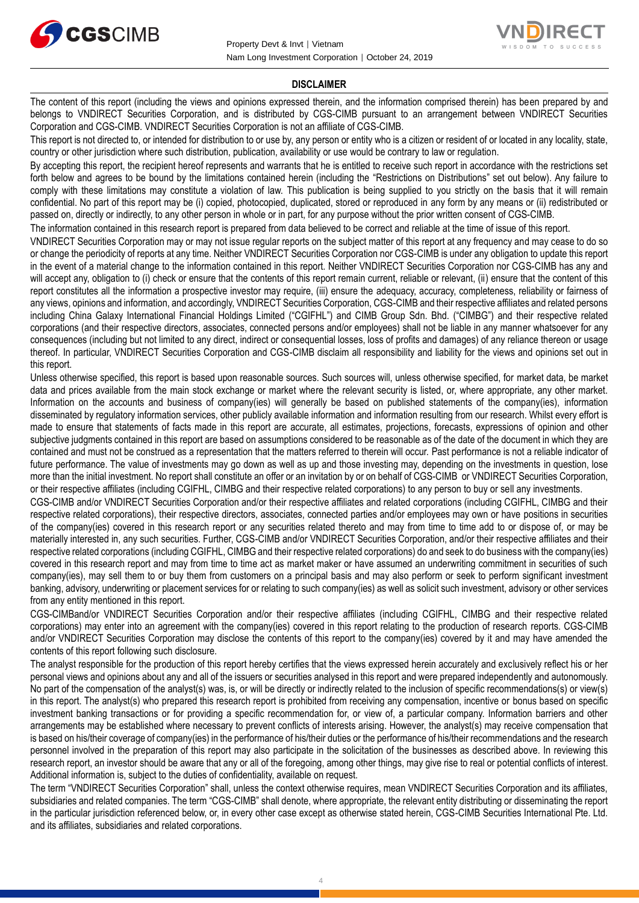



## **DISCLAIMER**

The content of this report (including the views and opinions expressed therein, and the information comprised therein) has been prepared by and belongs to VNDIRECT Securities Corporation, and is distributed by CGS-CIMB pursuant to an arrangement between VNDIRECT Securities Corporation and CGS-CIMB. VNDIRECT Securities Corporation is not an affiliate of CGS-CIMB.

This report is not directed to, or intended for distribution to or use by, any person or entity who is a citizen or resident of or located in any locality, state, country or other jurisdiction where such distribution, publication, availability or use would be contrary to law or regulation.

By accepting this report, the recipient hereof represents and warrants that he is entitled to receive such report in accordance with the restrictions set forth below and agrees to be bound by the limitations contained herein (including the "Restrictions on Distributions" set out below). Any failure to comply with these limitations may constitute a violation of law. This publication is being supplied to you strictly on the basis that it will remain confidential. No part of this report may be (i) copied, photocopied, duplicated, stored or reproduced in any form by any means or (ii) redistributed or passed on, directly or indirectly, to any other person in whole or in part, for any purpose without the prior written consent of CGS-CIMB.

The information contained in this research report is prepared from data believed to be correct and reliable at the time of issue of this report.

VNDIRECT Securities Corporation may or may not issue regular reports on the subject matter of this report at any frequency and may cease to do so or change the periodicity of reports at any time. Neither VNDIRECT Securities Corporation nor CGS-CIMB is under any obligation to update this report in the event of a material change to the information contained in this report. Neither VNDIRECT Securities Corporation nor CGS-CIMB has any and will accept any, obligation to (i) check or ensure that the contents of this report remain current, reliable or relevant, (ii) ensure that the content of this report constitutes all the information a prospective investor may require, (iii) ensure the adequacy, accuracy, completeness, reliability or fairness of any views, opinions and information, and accordingly, VNDIRECT Securities Corporation, CGS-CIMB and their respective affiliates and related persons including China Galaxy International Financial Holdings Limited ("CGIFHL") and CIMB Group Sdn. Bhd. ("CIMBG") and their respective related corporations (and their respective directors, associates, connected persons and/or employees) shall not be liable in any manner whatsoever for any consequences (including but not limited to any direct, indirect or consequential losses, loss of profits and damages) of any reliance thereon or usage thereof. In particular, VNDIRECT Securities Corporation and CGS-CIMB disclaim all responsibility and liability for the views and opinions set out in this report.

Unless otherwise specified, this report is based upon reasonable sources. Such sources will, unless otherwise specified, for market data, be market data and prices available from the main stock exchange or market where the relevant security is listed, or, where appropriate, any other market. Information on the accounts and business of company(ies) will generally be based on published statements of the company(ies), information disseminated by regulatory information services, other publicly available information and information resulting from our research. Whilst every effort is made to ensure that statements of facts made in this report are accurate, all estimates, projections, forecasts, expressions of opinion and other subjective judgments contained in this report are based on assumptions considered to be reasonable as of the date of the document in which they are contained and must not be construed as a representation that the matters referred to therein will occur. Past performance is not a reliable indicator of future performance. The value of investments may go down as well as up and those investing may, depending on the investments in question, lose more than the initial investment. No report shall constitute an offer or an invitation by or on behalf of CGS-CIMB or VNDIRECT Securities Corporation, or their respective affiliates (including CGIFHL, CIMBG and their respective related corporations) to any person to buy or sell any investments.

CGS-CIMB and/or VNDIRECT Securities Corporation and/or their respective affiliates and related corporations (including CGIFHL, CIMBG and their respective related corporations), their respective directors, associates, connected parties and/or employees may own or have positions in securities of the company(ies) covered in this research report or any securities related thereto and may from time to time add to or dispose of, or may be materially interested in, any such securities. Further, CGS-CIMB and/or VNDIRECT Securities Corporation, and/or their respective affiliates and their respective related corporations (including CGIFHL, CIMBG and their respective related corporations) do and seek to do business with the company(ies) covered in this research report and may from time to time act as market maker or have assumed an underwriting commitment in securities of such company(ies), may sell them to or buy them from customers on a principal basis and may also perform or seek to perform significant investment banking, advisory, underwriting or placement services for or relating to such company(ies) as well as solicit such investment, advisory or other services from any entity mentioned in this report.

CGS-CIMBand/or VNDIRECT Securities Corporation and/or their respective affiliates (including CGIFHL, CIMBG and their respective related corporations) may enter into an agreement with the company(ies) covered in this report relating to the production of research reports. CGS-CIMB and/or VNDIRECT Securities Corporation may disclose the contents of this report to the company(ies) covered by it and may have amended the contents of this report following such disclosure.

The analyst responsible for the production of this report hereby certifies that the views expressed herein accurately and exclusively reflect his or her personal views and opinions about any and all of the issuers or securities analysed in this report and were prepared independently and autonomously. No part of the compensation of the analyst(s) was, is, or will be directly or indirectly related to the inclusion of specific recommendations(s) or view(s) in this report. The analyst(s) who prepared this research report is prohibited from receiving any compensation, incentive or bonus based on specific investment banking transactions or for providing a specific recommendation for, or view of, a particular company. Information barriers and other arrangements may be established where necessary to prevent conflicts of interests arising. However, the analyst(s) may receive compensation that is based on his/their coverage of company(ies) in the performance of his/their duties or the performance of his/their recommendations and the research personnel involved in the preparation of this report may also participate in the solicitation of the businesses as described above. In reviewing this research report, an investor should be aware that any or all of the foregoing, among other things, may give rise to real or potential conflicts of interest. Additional information is, subject to the duties of confidentiality, available on request.

The term "VNDIRECT Securities Corporation" shall, unless the context otherwise requires, mean VNDIRECT Securities Corporation and its affiliates, subsidiaries and related companies. The term "CGS-CIMB" shall denote, where appropriate, the relevant entity distributing or disseminating the report in the particular jurisdiction referenced below, or, in every other case except as otherwise stated herein, CGS-CIMB Securities International Pte. Ltd. and its affiliates, subsidiaries and related corporations.

4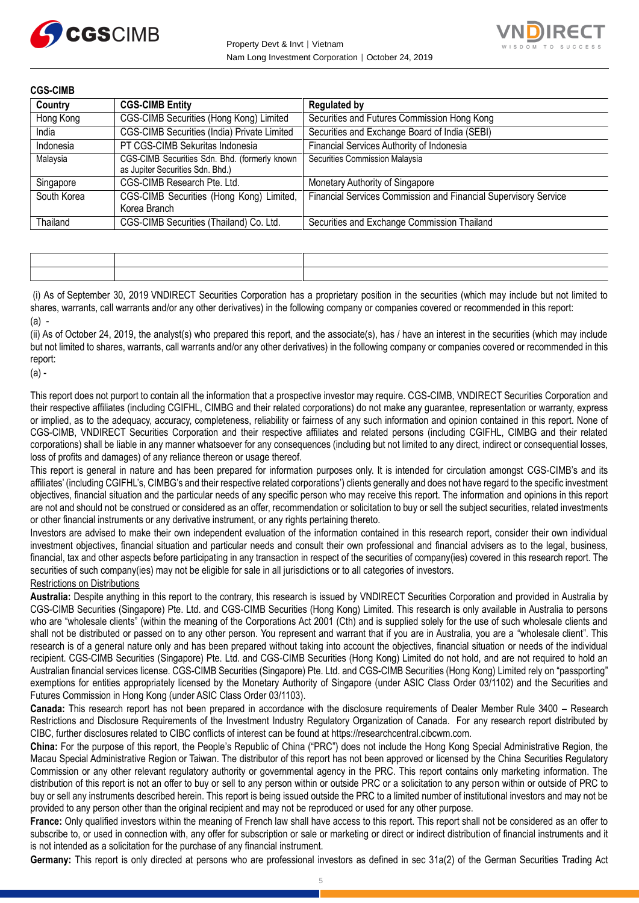



**CGS-CIMB**

| Country     | <b>CGS-CIMB Entity</b>                                                            | <b>Regulated by</b>                                             |
|-------------|-----------------------------------------------------------------------------------|-----------------------------------------------------------------|
| Hong Kong   | CGS-CIMB Securities (Hong Kong) Limited                                           | Securities and Futures Commission Hong Kong                     |
| India       | CGS-CIMB Securities (India) Private Limited                                       | Securities and Exchange Board of India (SEBI)                   |
| Indonesia   | PT CGS-CIMB Sekuritas Indonesia                                                   | Financial Services Authority of Indonesia                       |
| Malaysia    | CGS-CIMB Securities Sdn. Bhd. (formerly known<br>as Jupiter Securities Sdn. Bhd.) | Securities Commission Malaysia                                  |
| Singapore   | CGS-CIMB Research Pte. Ltd.                                                       | Monetary Authority of Singapore                                 |
| South Korea | CGS-CIMB Securities (Hong Kong) Limited,<br>Korea Branch                          | Financial Services Commission and Financial Supervisory Service |
| Thailand    | CGS-CIMB Securities (Thailand) Co. Ltd.                                           | Securities and Exchange Commission Thailand                     |

(i) As of September 30, 2019 VNDIRECT Securities Corporation has a proprietary position in the securities (which may include but not limited to shares, warrants, call warrants and/or any other derivatives) in the following company or companies covered or recommended in this report:  $(a)$  -

(ii) As of October 24, 2019, the analyst(s) who prepared this report, and the associate(s), has / have an interest in the securities (which may include but not limited to shares, warrants, call warrants and/or any other derivatives) in the following company or companies covered or recommended in this report:

(a) -

This report does not purport to contain all the information that a prospective investor may require. CGS-CIMB, VNDIRECT Securities Corporation and their respective affiliates (including CGIFHL, CIMBG and their related corporations) do not make any guarantee, representation or warranty, express or implied, as to the adequacy, accuracy, completeness, reliability or fairness of any such information and opinion contained in this report. None of CGS-CIMB, VNDIRECT Securities Corporation and their respective affiliates and related persons (including CGIFHL, CIMBG and their related corporations) shall be liable in any manner whatsoever for any consequences (including but not limited to any direct, indirect or consequential losses, loss of profits and damages) of any reliance thereon or usage thereof.

This report is general in nature and has been prepared for information purposes only. It is intended for circulation amongst CGS-CIMB's and its affiliates' (including CGIFHL's, CIMBG's and their respective related corporations') clients generally and does not have regard to the specific investment objectives, financial situation and the particular needs of any specific person who may receive this report. The information and opinions in this report are not and should not be construed or considered as an offer, recommendation or solicitation to buy or sell the subject securities, related investments or other financial instruments or any derivative instrument, or any rights pertaining thereto.

Investors are advised to make their own independent evaluation of the information contained in this research report, consider their own individual investment objectives, financial situation and particular needs and consult their own professional and financial advisers as to the legal, business, financial, tax and other aspects before participating in any transaction in respect of the securities of company(ies) covered in this research report. The securities of such company(ies) may not be eligible for sale in all jurisdictions or to all categories of investors.

Restrictions on Distributions

**Australia:** Despite anything in this report to the contrary, this research is issued by VNDIRECT Securities Corporation and provided in Australia by CGS-CIMB Securities (Singapore) Pte. Ltd. and CGS-CIMB Securities (Hong Kong) Limited. This research is only available in Australia to persons who are "wholesale clients" (within the meaning of the Corporations Act 2001 (Cth) and is supplied solely for the use of such wholesale clients and shall not be distributed or passed on to any other person. You represent and warrant that if you are in Australia, you are a "wholesale client". This research is of a general nature only and has been prepared without taking into account the objectives, financial situation or needs of the individual recipient. CGS-CIMB Securities (Singapore) Pte. Ltd. and CGS-CIMB Securities (Hong Kong) Limited do not hold, and are not required to hold an Australian financial services license. CGS-CIMB Securities (Singapore) Pte. Ltd. and CGS-CIMB Securities (Hong Kong) Limited rely on "passporting" exemptions for entities appropriately licensed by the Monetary Authority of Singapore (under ASIC Class Order 03/1102) and the Securities and Futures Commission in Hong Kong (under ASIC Class Order 03/1103).

**Canada:** This research report has not been prepared in accordance with the disclosure requirements of Dealer Member Rule 3400 – Research Restrictions and Disclosure Requirements of the Investment Industry Regulatory Organization of Canada. For any research report distributed by CIBC, further disclosures related to CIBC conflicts of interest can be found at https://researchcentral.cibcwm.com.

**China:** For the purpose of this report, the People's Republic of China ("PRC") does not include the Hong Kong Special Administrative Region, the Macau Special Administrative Region or Taiwan. The distributor of this report has not been approved or licensed by the China Securities Regulatory Commission or any other relevant regulatory authority or governmental agency in the PRC. This report contains only marketing information. The distribution of this report is not an offer to buy or sell to any person within or outside PRC or a solicitation to any person within or outside of PRC to buy or sell any instruments described herein. This report is being issued outside the PRC to a limited number of institutional investors and may not be provided to any person other than the original recipient and may not be reproduced or used for any other purpose.

**France:** Only qualified investors within the meaning of French law shall have access to this report. This report shall not be considered as an offer to subscribe to, or used in connection with, any offer for subscription or sale or marketing or direct or indirect distribution of financial instruments and it is not intended as a solicitation for the purchase of any financial instrument.

**Germany:** This report is only directed at persons who are professional investors as defined in sec 31a(2) of the German Securities Trading Act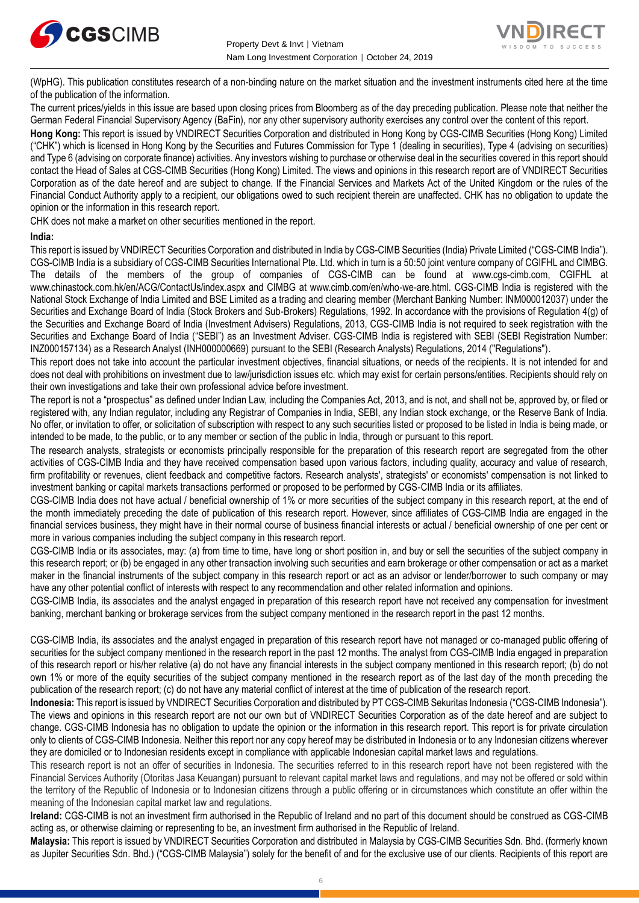



(WpHG). This publication constitutes research of a non-binding nature on the market situation and the investment instruments cited here at the time of the publication of the information.

The current prices/yields in this issue are based upon closing prices from Bloomberg as of the day preceding publication. Please note that neither the German Federal Financial Supervisory Agency (BaFin), nor any other supervisory authority exercises any control over the content of this report.

**Hong Kong:** This report is issued by VNDIRECT Securities Corporation and distributed in Hong Kong by CGS-CIMB Securities (Hong Kong) Limited ("CHK") which is licensed in Hong Kong by the Securities and Futures Commission for Type 1 (dealing in securities), Type 4 (advising on securities) and Type 6 (advising on corporate finance) activities. Any investors wishing to purchase or otherwise deal in the securities covered in this report should contact the Head of Sales at CGS-CIMB Securities (Hong Kong) Limited. The views and opinions in this research report are of VNDIRECT Securities Corporation as of the date hereof and are subject to change. If the Financial Services and Markets Act of the United Kingdom or the rules of the Financial Conduct Authority apply to a recipient, our obligations owed to such recipient therein are unaffected. CHK has no obligation to update the opinion or the information in this research report.

CHK does not make a market on other securities mentioned in the report.

## **India:**

This report is issued by VNDIRECT Securities Corporation and distributed in India by CGS-CIMB Securities (India) Private Limited ("CGS-CIMB India"). CGS-CIMB India is a subsidiary of CGS-CIMB Securities International Pte. Ltd. which in turn is a 50:50 joint venture company of CGIFHL and CIMBG. The details of the members of the group of companies of CGS-CIMB can be found at www.cgs-cimb.com, CGIFHL at www.chinastock.com.hk/en/ACG/ContactUs/index.aspx and CIMBG at www.cimb.com/en/who-we-are.html. CGS-CIMB India is registered with the National Stock Exchange of India Limited and BSE Limited as a trading and clearing member (Merchant Banking Number: INM000012037) under the Securities and Exchange Board of India (Stock Brokers and Sub-Brokers) Regulations, 1992. In accordance with the provisions of Regulation 4(g) of the Securities and Exchange Board of India (Investment Advisers) Regulations, 2013, CGS-CIMB India is not required to seek registration with the Securities and Exchange Board of India ("SEBI") as an Investment Adviser. CGS-CIMB India is registered with SEBI (SEBI Registration Number: INZ000157134) as a Research Analyst (INH000000669) pursuant to the SEBI (Research Analysts) Regulations, 2014 ("Regulations").

This report does not take into account the particular investment objectives, financial situations, or needs of the recipients. It is not intended for and does not deal with prohibitions on investment due to law/jurisdiction issues etc. which may exist for certain persons/entities. Recipients should rely on their own investigations and take their own professional advice before investment.

The report is not a "prospectus" as defined under Indian Law, including the Companies Act, 2013, and is not, and shall not be, approved by, or filed or registered with, any Indian regulator, including any Registrar of Companies in India, SEBI, any Indian stock exchange, or the Reserve Bank of India. No offer, or invitation to offer, or solicitation of subscription with respect to any such securities listed or proposed to be listed in India is being made, or intended to be made, to the public, or to any member or section of the public in India, through or pursuant to this report.

The research analysts, strategists or economists principally responsible for the preparation of this research report are segregated from the other activities of CGS-CIMB India and they have received compensation based upon various factors, including quality, accuracy and value of research, firm profitability or revenues, client feedback and competitive factors. Research analysts', strategists' or economists' compensation is not linked to investment banking or capital markets transactions performed or proposed to be performed by CGS-CIMB India or its affiliates.

CGS-CIMB India does not have actual / beneficial ownership of 1% or more securities of the subject company in this research report, at the end of the month immediately preceding the date of publication of this research report. However, since affiliates of CGS-CIMB India are engaged in the financial services business, they might have in their normal course of business financial interests or actual / beneficial ownership of one per cent or more in various companies including the subject company in this research report.

CGS-CIMB India or its associates, may: (a) from time to time, have long or short position in, and buy or sell the securities of the subject company in this research report; or (b) be engaged in any other transaction involving such securities and earn brokerage or other compensation or act as a market maker in the financial instruments of the subject company in this research report or act as an advisor or lender/borrower to such company or may have any other potential conflict of interests with respect to any recommendation and other related information and opinions.

CGS-CIMB India, its associates and the analyst engaged in preparation of this research report have not received any compensation for investment banking, merchant banking or brokerage services from the subject company mentioned in the research report in the past 12 months.

CGS-CIMB India, its associates and the analyst engaged in preparation of this research report have not managed or co-managed public offering of securities for the subject company mentioned in the research report in the past 12 months. The analyst from CGS-CIMB India engaged in preparation of this research report or his/her relative (a) do not have any financial interests in the subject company mentioned in this research report; (b) do not own 1% or more of the equity securities of the subject company mentioned in the research report as of the last day of the month preceding the publication of the research report; (c) do not have any material conflict of interest at the time of publication of the research report.

**Indonesia:** This report is issued by VNDIRECT Securities Corporation and distributed by PT CGS-CIMB Sekuritas Indonesia ("CGS-CIMB Indonesia"). The views and opinions in this research report are not our own but of VNDIRECT Securities Corporation as of the date hereof and are subject to change. CGS-CIMB Indonesia has no obligation to update the opinion or the information in this research report. This report is for private circulation only to clients of CGS-CIMB Indonesia. Neither this report nor any copy hereof may be distributed in Indonesia or to any Indonesian citizens wherever they are domiciled or to Indonesian residents except in compliance with applicable Indonesian capital market laws and regulations.

This research report is not an offer of securities in Indonesia. The securities referred to in this research report have not been registered with the Financial Services Authority (Otoritas Jasa Keuangan) pursuant to relevant capital market laws and regulations, and may not be offered or sold within the territory of the Republic of Indonesia or to Indonesian citizens through a public offering or in circumstances which constitute an offer within the meaning of the Indonesian capital market law and regulations.

**Ireland:** CGS-CIMB is not an investment firm authorised in the Republic of Ireland and no part of this document should be construed as CGS-CIMB acting as, or otherwise claiming or representing to be, an investment firm authorised in the Republic of Ireland.

**Malaysia:** This report is issued by VNDIRECT Securities Corporation and distributed in Malaysia by CGS-CIMB Securities Sdn. Bhd. (formerly known as Jupiter Securities Sdn. Bhd.) ("CGS-CIMB Malaysia") solely for the benefit of and for the exclusive use of our clients. Recipients of this report are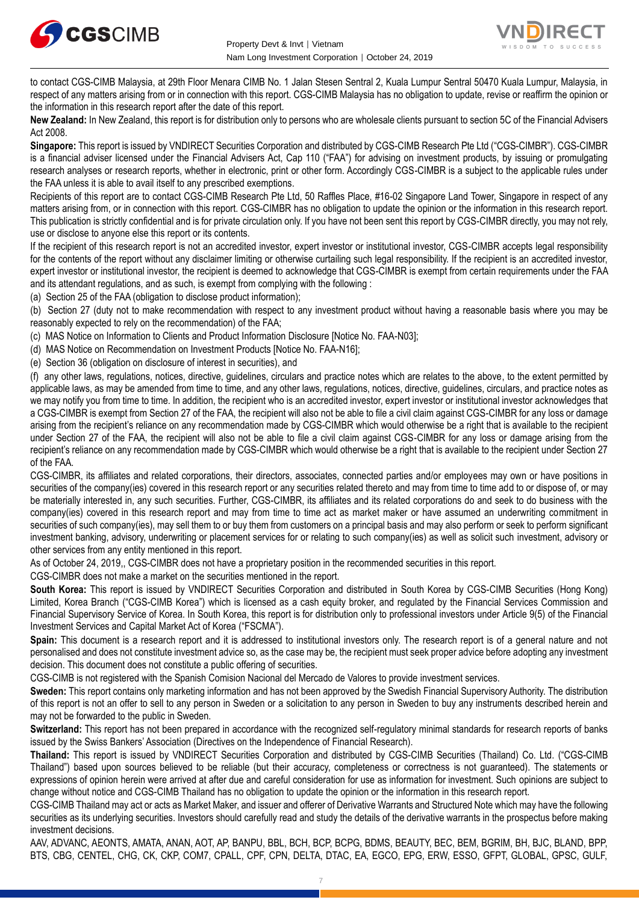



to contact CGS-CIMB Malaysia, at 29th Floor Menara CIMB No. 1 Jalan Stesen Sentral 2, Kuala Lumpur Sentral 50470 Kuala Lumpur, Malaysia, in respect of any matters arising from or in connection with this report. CGS-CIMB Malaysia has no obligation to update, revise or reaffirm the opinion or the information in this research report after the date of this report.

**New Zealand:** In New Zealand, this report is for distribution only to persons who are wholesale clients pursuant to section 5C of the Financial Advisers Act 2008.

**Singapore:** This report is issued by VNDIRECT Securities Corporation and distributed by CGS-CIMB Research Pte Ltd ("CGS-CIMBR"). CGS-CIMBR is a financial adviser licensed under the Financial Advisers Act, Cap 110 ("FAA") for advising on investment products, by issuing or promulgating research analyses or research reports, whether in electronic, print or other form. Accordingly CGS-CIMBR is a subject to the applicable rules under the FAA unless it is able to avail itself to any prescribed exemptions.

Recipients of this report are to contact CGS-CIMB Research Pte Ltd, 50 Raffles Place, #16-02 Singapore Land Tower, Singapore in respect of any matters arising from, or in connection with this report. CGS-CIMBR has no obligation to update the opinion or the information in this research report. This publication is strictly confidential and is for private circulation only. If you have not been sent this report by CGS-CIMBR directly, you may not rely, use or disclose to anyone else this report or its contents.

If the recipient of this research report is not an accredited investor, expert investor or institutional investor, CGS-CIMBR accepts legal responsibility for the contents of the report without any disclaimer limiting or otherwise curtailing such legal responsibility. If the recipient is an accredited investor, expert investor or institutional investor, the recipient is deemed to acknowledge that CGS-CIMBR is exempt from certain requirements under the FAA and its attendant regulations, and as such, is exempt from complying with the following :

(a) Section 25 of the FAA (obligation to disclose product information);

(b) Section 27 (duty not to make recommendation with respect to any investment product without having a reasonable basis where you may be reasonably expected to rely on the recommendation) of the FAA;

(c) MAS Notice on Information to Clients and Product Information Disclosure [Notice No. FAA-N03];

(d) MAS Notice on Recommendation on Investment Products [Notice No. FAA-N16];

(e) Section 36 (obligation on disclosure of interest in securities), and

(f) any other laws, regulations, notices, directive, guidelines, circulars and practice notes which are relates to the above, to the extent permitted by applicable laws, as may be amended from time to time, and any other laws, regulations, notices, directive, guidelines, circulars, and practice notes as we may notify you from time to time. In addition, the recipient who is an accredited investor, expert investor or institutional investor acknowledges that a CGS-CIMBR is exempt from Section 27 of the FAA, the recipient will also not be able to file a civil claim against CGS-CIMBR for any loss or damage arising from the recipient's reliance on any recommendation made by CGS-CIMBR which would otherwise be a right that is available to the recipient under Section 27 of the FAA, the recipient will also not be able to file a civil claim against CGS-CIMBR for any loss or damage arising from the recipient's reliance on any recommendation made by CGS-CIMBR which would otherwise be a right that is available to the recipient under Section 27 of the FAA.

CGS-CIMBR, its affiliates and related corporations, their directors, associates, connected parties and/or employees may own or have positions in securities of the company(ies) covered in this research report or any securities related thereto and may from time to time add to or dispose of, or may be materially interested in, any such securities. Further, CGS-CIMBR, its affiliates and its related corporations do and seek to do business with the company(ies) covered in this research report and may from time to time act as market maker or have assumed an underwriting commitment in securities of such company(ies), may sell them to or buy them from customers on a principal basis and may also perform or seek to perform significant investment banking, advisory, underwriting or placement services for or relating to such company(ies) as well as solicit such investment, advisory or other services from any entity mentioned in this report.

As of October 24, 2019,, CGS-CIMBR does not have a proprietary position in the recommended securities in this report.

CGS-CIMBR does not make a market on the securities mentioned in the report.

**South Korea:** This report is issued by VNDIRECT Securities Corporation and distributed in South Korea by CGS-CIMB Securities (Hong Kong) Limited, Korea Branch ("CGS-CIMB Korea") which is licensed as a cash equity broker, and regulated by the Financial Services Commission and Financial Supervisory Service of Korea. In South Korea, this report is for distribution only to professional investors under Article 9(5) of the Financial Investment Services and Capital Market Act of Korea ("FSCMA").

**Spain:** This document is a research report and it is addressed to institutional investors only. The research report is of a general nature and not personalised and does not constitute investment advice so, as the case may be, the recipient must seek proper advice before adopting any investment decision. This document does not constitute a public offering of securities.

CGS-CIMB is not registered with the Spanish Comision Nacional del Mercado de Valores to provide investment services.

**Sweden:** This report contains only marketing information and has not been approved by the Swedish Financial Supervisory Authority. The distribution of this report is not an offer to sell to any person in Sweden or a solicitation to any person in Sweden to buy any instruments described herein and may not be forwarded to the public in Sweden.

**Switzerland:** This report has not been prepared in accordance with the recognized self-regulatory minimal standards for research reports of banks issued by the Swiss Bankers' Association (Directives on the Independence of Financial Research).

**Thailand:** This report is issued by VNDIRECT Securities Corporation and distributed by CGS-CIMB Securities (Thailand) Co. Ltd. ("CGS-CIMB Thailand") based upon sources believed to be reliable (but their accuracy, completeness or correctness is not guaranteed). The statements or expressions of opinion herein were arrived at after due and careful consideration for use as information for investment. Such opinions are subject to change without notice and CGS-CIMB Thailand has no obligation to update the opinion or the information in this research report.

CGS-CIMB Thailand may act or acts as Market Maker, and issuer and offerer of Derivative Warrants and Structured Note which may have the following securities as its underlying securities. Investors should carefully read and study the details of the derivative warrants in the prospectus before making investment decisions.

AAV, ADVANC, AEONTS, AMATA, ANAN, AOT, AP, BANPU, BBL, BCH, BCP, BCPG, BDMS, BEAUTY, BEC, BEM, BGRIM, BH, BJC, BLAND, BPP, BTS, CBG, CENTEL, CHG, CK, CKP, COM7, CPALL, CPF, CPN, DELTA, DTAC, EA, EGCO, EPG, ERW, ESSO, GFPT, GLOBAL, GPSC, GULF,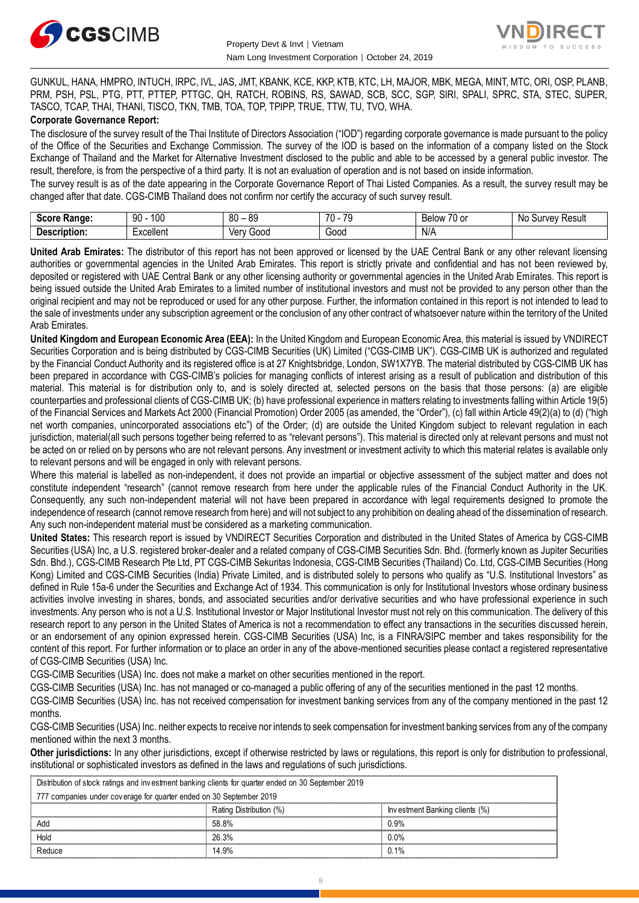



GUNKUL, HANA, HMPRO, INTUCH, IRPC, IVL, JAS, JMT, KBANK, KCE, KKP, KTB, KTC, LH, MAJOR, MBK, MEGA, MINT, MTC, ORI, OSP, PLANB, PRM, PSH, PSL, PTG, PTT, PTTEP, PTTGC, QH, RATCH, ROBINS, RS, SAWAD, SCB, SCC, SGP, SIRI, SPALI, SPRC, STA, STEC, SUPER, TASCO, TCAP, THAI, THANI, TISCO, TKN, TMB, TOA, TOP, TPIPP, TRUE, TTW, TU, TVO, WHA.

## **Corporate Governance Report:**

The disclosure of the survey result of the Thai Institute of Directors Association ("IOD") regarding corporate governance is made pursuant to the policy of the Office of the Securities and Exchange Commission. The survey of the IOD is based on the information of a company listed on the Stock Exchange of Thailand and the Market for Alternative Investment disclosed to the public and able to be accessed by a general public investor. The result, therefore, is from the perspective of a third party. It is not an evaluation of operation and is not based on inside information.

The survey result is as of the date appearing in the Corporate Governance Report of Thai Listed Companies. As a result, the survey result may be changed after that date. CGS-CIMB Thailand does not confirm nor certify the accuracy of such survey result.

| Soore.<br>Range:<br>экик     | l00<br>90                    | -RN<br>n c<br>υυ<br>vü | $\overline{\phantom{a}}$<br>70<br>u | $\sim$ $\sim$<br>Relow<br>u or | No<br><b>Result</b><br>survey. |
|------------------------------|------------------------------|------------------------|-------------------------------------|--------------------------------|--------------------------------|
| ------<br>- - --<br>ription: | voollor<br><u>xuellei Il</u> | Verv<br>300C           | -<br>000ن<br>.                      | N/A                            |                                |

**United Arab Emirates:** The distributor of this report has not been approved or licensed by the UAE Central Bank or any other relevant licensing authorities or governmental agencies in the United Arab Emirates. This report is strictly private and confidential and has not been reviewed by, deposited or registered with UAE Central Bank or any other licensing authority or governmental agencies in the United Arab Emirates. This report is being issued outside the United Arab Emirates to a limited number of institutional investors and must not be provided to any person other than the original recipient and may not be reproduced or used for any other purpose. Further, the information contained in this report is not intended to lead to the sale of investments under any subscription agreement or the conclusion of any other contract of whatsoever nature within the territory of the United Arab Emirates.

**United Kingdom and European Economic Area (EEA):** In the United Kingdom and European Economic Area, this material is issued by VNDIRECT Securities Corporation and is being distributed by CGS-CIMB Securities (UK) Limited ("CGS-CIMB UK"). CGS-CIMB UK is authorized and regulated by the Financial Conduct Authority and its registered office is at 27 Knightsbridge, London, SW1X7YB. The material distributed by CGS-CIMB UK has been prepared in accordance with CGS-CIMB's policies for managing conflicts of interest arising as a result of publication and distribution of this material. This material is for distribution only to, and is solely directed at, selected persons on the basis that those persons: (a) are eligible counterparties and professional clients of CGS-CIMB UK; (b) have professional experience in matters relating to investments falling within Article 19(5) of the Financial Services and Markets Act 2000 (Financial Promotion) Order 2005 (as amended, the "Order"), (c) fall within Article 49(2)(a) to (d) ("high net worth companies, unincorporated associations etc") of the Order; (d) are outside the United Kingdom subject to relevant regulation in each jurisdiction, material(all such persons together being referred to as "relevant persons"). This material is directed only at relevant persons and must not be acted on or relied on by persons who are not relevant persons. Any investment or investment activity to which this material relates is available only to relevant persons and will be engaged in only with relevant persons.

Where this material is labelled as non-independent, it does not provide an impartial or objective assessment of the subject matter and does not constitute independent "research" (cannot remove research from here under the applicable rules of the Financial Conduct Authority in the UK. Consequently, any such non-independent material will not have been prepared in accordance with legal requirements designed to promote the independence of research (cannot remove research from here) and will not subject to any prohibition on dealing ahead of the dissemination of research. Any such non-independent material must be considered as a marketing communication.

**United States:** This research report is issued by VNDIRECT Securities Corporation and distributed in the United States of America by CGS-CIMB Securities (USA) Inc, a U.S. registered broker-dealer and a related company of CGS-CIMB Securities Sdn. Bhd. (formerly known as Jupiter Securities Sdn. Bhd.), CGS-CIMB Research Pte Ltd, PT CGS-CIMB Sekuritas Indonesia, CGS-CIMB Securities (Thailand) Co. Ltd, CGS-CIMB Securities (Hong Kong) Limited and CGS-CIMB Securities (India) Private Limited, and is distributed solely to persons who qualify as "U.S. Institutional Investors" as defined in Rule 15a-6 under the Securities and Exchange Act of 1934. This communication is only for Institutional Investors whose ordinary business activities involve investing in shares, bonds, and associated securities and/or derivative securities and who have professional experience in such investments. Any person who is not a U.S. Institutional Investor or Major Institutional Investor must not rely on this communication. The delivery of this research report to any person in the United States of America is not a recommendation to effect any transactions in the securities discussed herein, or an endorsement of any opinion expressed herein. CGS-CIMB Securities (USA) Inc, is a FINRA/SIPC member and takes responsibility for the content of this report. For further information or to place an order in any of the above-mentioned securities please contact a registered representative of CGS-CIMB Securities (USA) Inc.

CGS-CIMB Securities (USA) Inc. does not make a market on other securities mentioned in the report.

CGS-CIMB Securities (USA) Inc. has not managed or co-managed a public offering of any of the securities mentioned in the past 12 months.

CGS-CIMB Securities (USA) Inc. has not received compensation for investment banking services from any of the company mentioned in the past 12 months.

CGS-CIMB Securities (USA) Inc. neither expects to receive nor intends to seek compensation for investment banking services from any of the company mentioned within the next 3 months.

**Other jurisdictions:** In any other jurisdictions, except if otherwise restricted by laws or regulations, this report is only for distribution to professional, institutional or sophisticated investors as defined in the laws and regulations of such jurisdictions. entioned within the next 3 months.<br> **ther jurisdictions:** In any other jurisdictions, except if otherwise restricted by laws antitutional or sophisticated investors as defined in the laws and regulations of such ju<br>
Distri

| institutional or sophisticated investors as defined in the laws and regulations of such jurisdictions. |                         | <b>Other jurisdictions:</b> In any other jurisdictions, except if otherwise restricted by laws or regulations, this report is only for distribution to j |  |  |
|--------------------------------------------------------------------------------------------------------|-------------------------|----------------------------------------------------------------------------------------------------------------------------------------------------------|--|--|
| Distribution of stock ratings and investment banking clients for quarter ended on 30 September 2019    |                         |                                                                                                                                                          |  |  |
| 777 companies under coverage for quarter ended on 30 September 2019                                    |                         |                                                                                                                                                          |  |  |
|                                                                                                        | Rating Distribution (%) | Investment Banking clients (%)                                                                                                                           |  |  |
| Add                                                                                                    | 58.8%                   | 0.9%                                                                                                                                                     |  |  |
| Hold                                                                                                   | 26.3%                   | በ በ%                                                                                                                                                     |  |  |
| Reduce                                                                                                 | 14.9%                   | 0.1%                                                                                                                                                     |  |  |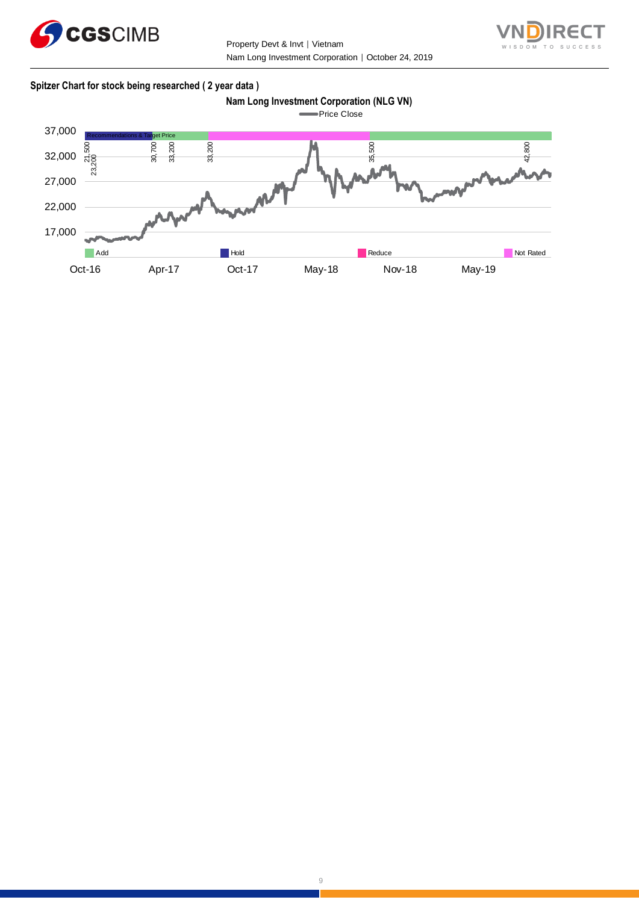

Property Devt & Invt │ Vietnam Nam Long Investment Corporation | October 24, 2019



# **Spitzer Chart for stock being researched ( 2 year data )**





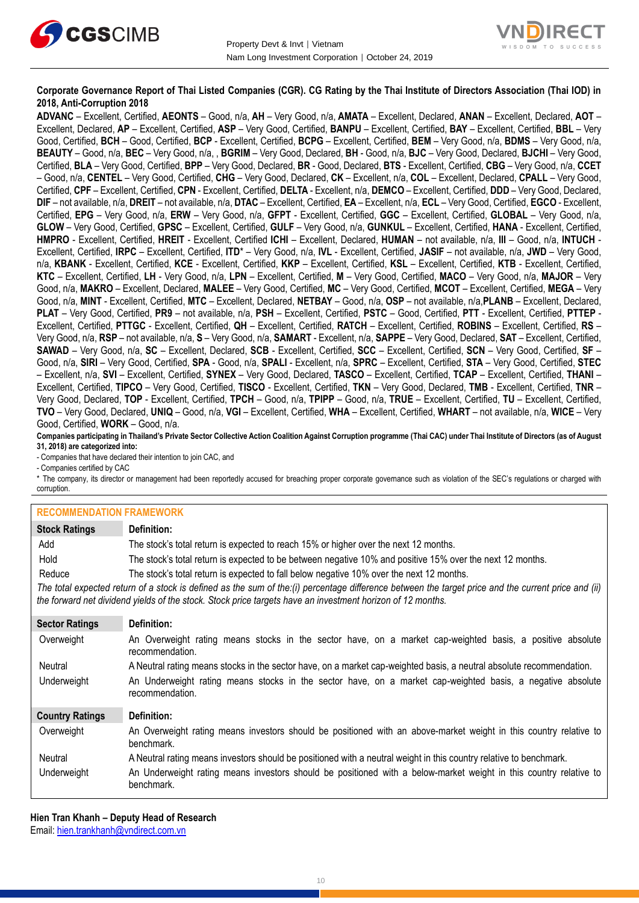



# **Corporate Governance Report of Thai Listed Companies (CGR). CG Rating by the Thai Institute of Directors Association (Thai IOD) in 2018, Anti-Corruption 2018**

**ADVANC** – Excellent, Certified, **AEONTS** – Good, n/a, **AH** – Very Good, n/a, **AMATA** – Excellent, Declared, **ANAN** – Excellent, Declared, **AOT** – Excellent, Declared, **AP** – Excellent, Certified, **ASP** – Very Good, Certified, **BANPU** – Excellent, Certified, **BAY** – Excellent, Certified, **BBL** – Very Good, Certified, **BCH** – Good, Certified, **BCP** - Excellent, Certified, **BCPG** – Excellent, Certified, **BEM** – Very Good, n/a, **BDMS** – Very Good, n/a, **BEAUTY** – Good, n/a, **BEC** – Very Good, n/a, , **BGRIM** – Very Good, Declared, **BH** - Good, n/a, **BJC** – Very Good, Declared, **BJCHI** – Very Good, Certified, **BLA** – Very Good, Certified, **BPP** – Very Good, Declared, **BR** - Good, Declared, **BTS** - Excellent, Certified, **CBG** – Very Good, n/a, **CCET** – Good, n/a, **CENTEL** – Very Good, Certified, **CHG** – Very Good, Declared, **CK** – Excellent, n/a, **COL** – Excellent, Declared, **CPALL** – Very Good, Certified, **CPF** – Excellent, Certified, **CPN** - Excellent, Certified, **DELTA** - Excellent, n/a, **DEMCO** – Excellent, Certified, **DDD** – Very Good, Declared, **DIF** – not available, n/a, **DREIT** – not available, n/a, **DTAC** – Excellent, Certified, **EA** – Excellent, n/a, **ECL** – Very Good, Certified, **EGCO** - Excellent, Certified, **EPG** – Very Good, n/a, **ERW** – Very Good, n/a, **GFPT** - Excellent, Certified, **GGC** – Excellent, Certified, **GLOBAL** – Very Good, n/a, **GLOW** – Very Good, Certified, **GPSC** – Excellent, Certified, **GULF** – Very Good, n/a, **GUNKUL** – Excellent, Certified, **HANA** - Excellent, Certified, **HMPRO** - Excellent, Certified, **HREIT** - Excellent, Certified **ICHI** – Excellent, Declared, **HUMAN** – not available, n/a, **III** – Good, n/a, **INTUCH** - Excellent, Certified, **IRPC** – Excellent, Certified, **ITD**\* – Very Good, n/a, **IVL** - Excellent, Certified, **JASIF** – not available, n/a, **JWD** – Very Good, n/a, **KBANK** - Excellent, Certified, **KCE** - Excellent, Certified, **KKP** – Excellent, Certified, **KSL** – Excellent, Certified, **KTB** - Excellent, Certified, **KTC** – Excellent, Certified, **LH** - Very Good, n/a, **LPN** – Excellent, Certified, **M** – Very Good, Certified, **MACO** – Very Good, n/a, **MAJOR** – Very Good, n/a, **MAKRO** – Excellent, Declared, **MALEE** – Very Good, Certified, **MC** – Very Good, Certified, **MCOT** – Excellent, Certified, **MEGA** – Very Good, n/a, **MINT** - Excellent, Certified, **MTC** – Excellent, Declared, **NETBAY** – Good, n/a, **OSP** – not available, n/a,**PLANB** – Excellent, Declared, **PLAT** – Very Good, Certified, **PR9** – not available, n/a, **PSH** – Excellent, Certified, **PSTC** – Good, Certified, **PTT** - Excellent, Certified, **PTTEP** - Excellent, Certified, **PTTGC** - Excellent, Certified, **QH** – Excellent, Certified, **RATCH** – Excellent, Certified, **ROBINS** – Excellent, Certified, **RS** – Very Good, n/a, **RSP** – not available, n/a, **S** – Very Good, n/a, **SAMART** - Excellent, n/a, **SAPPE** – Very Good, Declared, **SAT** – Excellent, Certified, **SAWAD** – Very Good, n/a, **SC** – Excellent, Declared, **SCB** - Excellent, Certified, **SCC** – Excellent, Certified, **SCN** – Very Good, Certified, **SF** – Good, n/a, **SIRI** – Very Good, Certified, **SPA** - Good, n/a, **SPALI** - Excellent, n/a, **SPRC** – Excellent, Certified, **STA** – Very Good, Certified, **STEC** – Excellent, n/a, **SVI** – Excellent, Certified, **SYNEX** – Very Good, Declared, **TASCO** – Excellent, Certified, **TCAP** – Excellent, Certified, **THANI** – Excellent, Certified, **TIPCO** – Very Good, Certified, **TISCO** - Excellent, Certified, **TKN** – Very Good, Declared, **TMB** - Excellent, Certified, **TNR** – Very Good, Declared, **TOP** - Excellent, Certified, **TPCH** – Good, n/a, **TPIPP** – Good, n/a, **TRUE** – Excellent, Certified, **TU** – Excellent, Certified, **TVO** – Very Good, Declared, **UNIQ** – Good, n/a, **VGI** – Excellent, Certified, **WHA** – Excellent, Certified, **WHART** – not available, n/a, **WICE** – Very Good, Certified, **WORK** – Good, n/a.

**Companies participating in Thailand's Private Sector Collective Action Coalition Against Corruption programme (Thai CAC) under Thai Institute of Directors (as of August 31, 2018) are categorized into:**

- Companies that have declared their intention to join CAC, and

- Companies certified by CAC

\* The company, its director or management had been reportedly accused for breaching proper corporate governance such as violation of the SEC's regulations or charged with corruption.

#### **RECOMMENDATION FRAMEWORK**

| <u>INLUVININILINDATION I INAMENTUININ</u> |                                                                                                                                                                                                                                                                   |  |  |
|-------------------------------------------|-------------------------------------------------------------------------------------------------------------------------------------------------------------------------------------------------------------------------------------------------------------------|--|--|
| <b>Stock Ratings</b>                      | Definition:                                                                                                                                                                                                                                                       |  |  |
| Add                                       | The stock's total return is expected to reach 15% or higher over the next 12 months.                                                                                                                                                                              |  |  |
| Hold                                      | The stock's total return is expected to be between negative 10% and positive 15% over the next 12 months.                                                                                                                                                         |  |  |
| Reduce                                    | The stock's total return is expected to fall below negative 10% over the next 12 months.                                                                                                                                                                          |  |  |
|                                           | The total expected return of a stock is defined as the sum of the:(i) percentage difference between the target price and the current price and (ii)<br>the forward net dividend yields of the stock. Stock price targets have an investment horizon of 12 months. |  |  |
| <b>Sector Ratings</b>                     | Definition:                                                                                                                                                                                                                                                       |  |  |
| Overweight                                | An Overweight rating means stocks in the sector have, on a market cap-weighted basis, a positive absolute<br>recommendation.                                                                                                                                      |  |  |
| Neutral                                   | A Neutral rating means stocks in the sector have, on a market cap-weighted basis, a neutral absolute recommendation.                                                                                                                                              |  |  |
| Underweight                               | An Underweight rating means stocks in the sector have, on a market cap-weighted basis, a negative absolute<br>recommendation.                                                                                                                                     |  |  |
| <b>Country Ratings</b>                    | Definition:                                                                                                                                                                                                                                                       |  |  |
| Overweight                                | An Overweight rating means investors should be positioned with an above-market weight in this country relative to<br>benchmark.                                                                                                                                   |  |  |
| Neutral                                   | A Neutral rating means investors should be positioned with a neutral weight in this country relative to benchmark.                                                                                                                                                |  |  |
| Underweight                               | An Underweight rating means investors should be positioned with a below-market weight in this country relative to                                                                                                                                                 |  |  |

**Hien Tran Khanh – Deputy Head of Research** Email: [hien.trankhanh@vndirect.com.vn](mailto:hien.trankhanh@vndirect.com.vn)

benchmark.